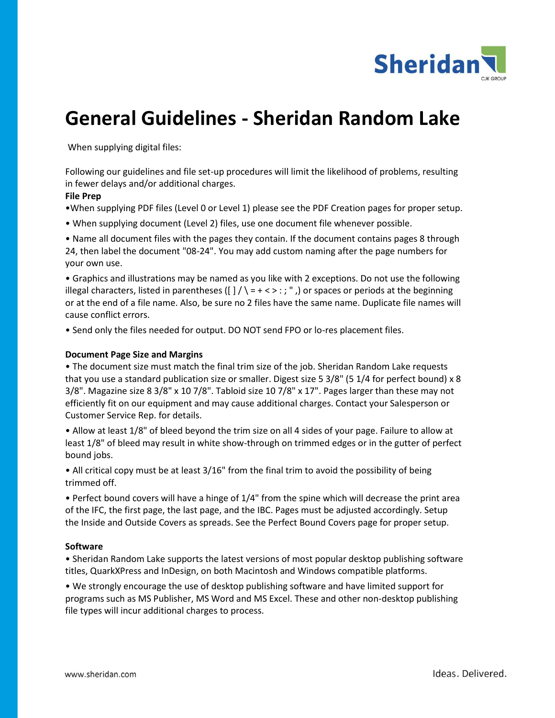

# **General Guidelines - Sheridan Random Lake**

When supplying digital files:

Following our guidelines and file set-up procedures will limit the likelihood of problems, resulting in fewer delays and/or additional charges.

### **File Prep**

•When supplying PDF files (Level 0 or Level 1) please see the PDF Creation pages for proper setup.

• When supplying document (Level 2) files, use one document file whenever possible.

• Name all document files with the pages they contain. If the document contains pages 8 through 24, then label the document "08-24". You may add custom naming after the page numbers for your own use.

• Graphics and illustrations may be named as you like with 2 exceptions. Do not use the following illegal characters, listed in parentheses ( $\vert \vert / \vert = + \langle > : : \vert \vert$ ) or spaces or periods at the beginning or at the end of a file name. Also, be sure no 2 files have the same name. Duplicate file names will cause conflict errors.

• Send only the files needed for output. DO NOT send FPO or lo-res placement files.

## **Document Page Size and Margins**

• The document size must match the final trim size of the job. Sheridan Random Lake requests that you use a standard publication size or smaller. Digest size 5 3/8" (5 1/4 for perfect bound) x 8 3/8". Magazine size 8 3/8" x 10 7/8". Tabloid size 10 7/8" x 17". Pages larger than these may not efficiently fit on our equipment and may cause additional charges. Contact your Salesperson or Customer Service Rep. for details.

• Allow at least 1/8" of bleed beyond the trim size on all 4 sides of your page. Failure to allow at least 1/8" of bleed may result in white show-through on trimmed edges or in the gutter of perfect bound jobs.

• All critical copy must be at least 3/16" from the final trim to avoid the possibility of being trimmed off.

• Perfect bound covers will have a hinge of 1/4" from the spine which will decrease the print area of the IFC, the first page, the last page, and the IBC. Pages must be adjusted accordingly. Setup the Inside and Outside Covers as spreads. See the Perfect Bound Covers page for proper setup.

### **Software**

• Sheridan Random Lake supports the latest versions of most popular desktop publishing software titles, QuarkXPress and InDesign, on both Macintosh and Windows compatible platforms.

• We strongly encourage the use of desktop publishing software and have limited support for programs such as MS Publisher, MS Word and MS Excel. These and other non-desktop publishing file types will incur additional charges to process.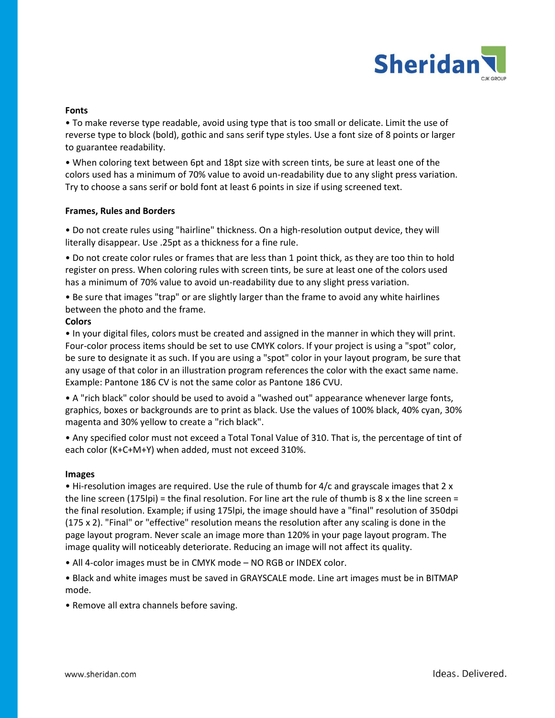

### **Fonts**

• To make reverse type readable, avoid using type that is too small or delicate. Limit the use of reverse type to block (bold), gothic and sans serif type styles. Use a font size of 8 points or larger to guarantee readability.

• When coloring text between 6pt and 18pt size with screen tints, be sure at least one of the colors used has a minimum of 70% value to avoid un-readability due to any slight press variation. Try to choose a sans serif or bold font at least 6 points in size if using screened text.

### **Frames, Rules and Borders**

• Do not create rules using "hairline" thickness. On a high-resolution output device, they will literally disappear. Use .25pt as a thickness for a fine rule.

• Do not create color rules or frames that are less than 1 point thick, as they are too thin to hold register on press. When coloring rules with screen tints, be sure at least one of the colors used has a minimum of 70% value to avoid un-readability due to any slight press variation.

• Be sure that images "trap" or are slightly larger than the frame to avoid any white hairlines between the photo and the frame.

## **Colors**

• In your digital files, colors must be created and assigned in the manner in which they will print. Four-color process items should be set to use CMYK colors. If your project is using a "spot" color, be sure to designate it as such. If you are using a "spot" color in your layout program, be sure that any usage of that color in an illustration program references the color with the exact same name. Example: Pantone 186 CV is not the same color as Pantone 186 CVU.

• A "rich black" color should be used to avoid a "washed out" appearance whenever large fonts, graphics, boxes or backgrounds are to print as black. Use the values of 100% black, 40% cyan, 30% magenta and 30% yellow to create a "rich black".

• Any specified color must not exceed a Total Tonal Value of 310. That is, the percentage of tint of each color (K+C+M+Y) when added, must not exceed 310%.

### **Images**

• Hi-resolution images are required. Use the rule of thumb for 4/c and grayscale images that 2 x the line screen (175lpi) = the final resolution. For line art the rule of thumb is 8 x the line screen = the final resolution. Example; if using 175lpi, the image should have a "final" resolution of 350dpi (175 x 2). "Final" or "effective" resolution means the resolution after any scaling is done in the page layout program. Never scale an image more than 120% in your page layout program. The image quality will noticeably deteriorate. Reducing an image will not affect its quality.

• All 4-color images must be in CMYK mode – NO RGB or INDEX color.

• Black and white images must be saved in GRAYSCALE mode. Line art images must be in BITMAP mode.

• Remove all extra channels before saving.